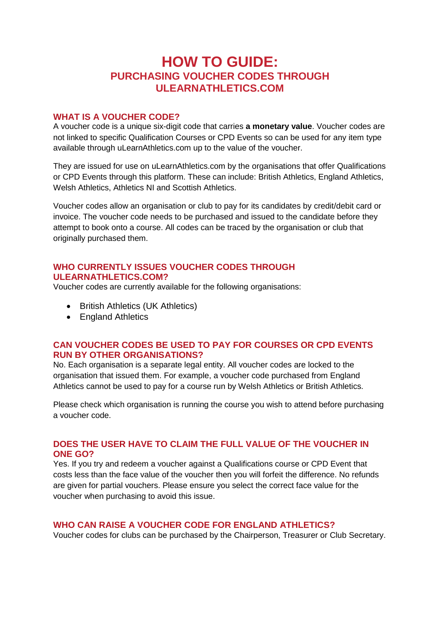# **HOW TO GUIDE: PURCHASING VOUCHER CODES THROUGH ULEARNATHLETICS.COM**

## **WHAT IS A VOUCHER CODE?**

A voucher code is a unique six-digit code that carries **a monetary value**. Voucher codes are not linked to specific Qualification Courses or CPD Events so can be used for any item type available through uLearnAthletics.com up to the value of the voucher.

They are issued for use on uLearnAthletics.com by the organisations that offer Qualifications or CPD Events through this platform. These can include: British Athletics, England Athletics, Welsh Athletics, Athletics NI and Scottish Athletics.

Voucher codes allow an organisation or club to pay for its candidates by credit/debit card or invoice. The voucher code needs to be purchased and issued to the candidate before they attempt to book onto a course. All codes can be traced by the organisation or club that originally purchased them.

# **WHO CURRENTLY ISSUES VOUCHER CODES THROUGH ULEARNATHLETICS.COM?**

Voucher codes are currently available for the following organisations:

- British Athletics (UK Athletics)
- England Athletics

# **CAN VOUCHER CODES BE USED TO PAY FOR COURSES OR CPD EVENTS RUN BY OTHER ORGANISATIONS?**

No. Each organisation is a separate legal entity. All voucher codes are locked to the organisation that issued them. For example, a voucher code purchased from England Athletics cannot be used to pay for a course run by Welsh Athletics or British Athletics.

Please check which organisation is running the course you wish to attend before purchasing a voucher code.

# **DOES THE USER HAVE TO CLAIM THE FULL VALUE OF THE VOUCHER IN ONE GO?**

Yes. If you try and redeem a voucher against a Qualifications course or CPD Event that costs less than the face value of the voucher then you will forfeit the difference. No refunds are given for partial vouchers. Please ensure you select the correct face value for the voucher when purchasing to avoid this issue.

# **WHO CAN RAISE A VOUCHER CODE FOR ENGLAND ATHLETICS?**

Voucher codes for clubs can be purchased by the Chairperson, Treasurer or Club Secretary.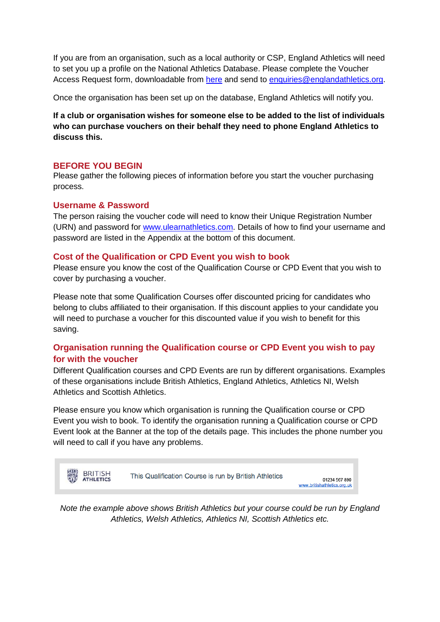If you are from an organisation, such as a local authority or CSP, England Athletics will need to set you up a profile on the National Athletics Database. Please complete the Voucher Access Request form, downloadable from [here](http://www.ulearnathletics.com/site/page?id=help#vouchers) and send to [enquiries@englandathletics.org.](mailto:enquiries@englandathletics.org)

Once the organisation has been set up on the database, England Athletics will notify you.

**If a club or organisation wishes for someone else to be added to the list of individuals who can purchase vouchers on their behalf they need to phone England Athletics to discuss this.**

## **BEFORE YOU BEGIN**

Please gather the following pieces of information before you start the voucher purchasing process.

# **Username & Password**

The person raising the voucher code will need to know their Unique Registration Number (URN) and password for [www.ulearnathletics.com.](http://www.ulearnathletics.com/) Details of how to find your username and password are listed in the Appendix at the bottom of this document.

#### **Cost of the Qualification or CPD Event you wish to book**

Please ensure you know the cost of the Qualification Course or CPD Event that you wish to cover by purchasing a voucher.

Please note that some Qualification Courses offer discounted pricing for candidates who belong to clubs affiliated to their organisation. If this discount applies to your candidate you will need to purchase a voucher for this discounted value if you wish to benefit for this saving.

# **Organisation running the Qualification course or CPD Event you wish to pay for with the voucher**

Different Qualification courses and CPD Events are run by different organisations. Examples of these organisations include British Athletics, England Athletics, Athletics NI, Welsh Athletics and Scottish Athletics.

Please ensure you know which organisation is running the Qualification course or CPD Event you wish to book. To identify the organisation running a Qualification course or CPD Event look at the Banner at the top of the details page. This includes the phone number you will need to call if you have any problems.



*Note the example above shows British Athletics but your course could be run by England Athletics, Welsh Athletics, Athletics NI, Scottish Athletics etc.*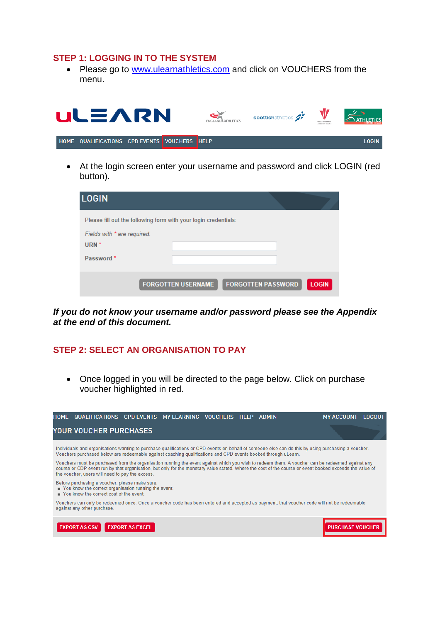#### **STEP 1: LOGGING IN TO THE SYSTEM**

• Please go to [www.ulearnathletics.com](http://www.ulearnathletics.com/) and click on VOUCHERS from the menu.



 At the login screen enter your username and password and click LOGIN (red button).

| <b>LOGIN</b>                                                    |                           |                           |              |
|-----------------------------------------------------------------|---------------------------|---------------------------|--------------|
| Please fill out the following form with your login credentials: |                           |                           |              |
| Fields with * are required.<br>URN <sup>*</sup>                 |                           |                           |              |
| Password <sup>*</sup>                                           |                           |                           |              |
|                                                                 | <b>FORGOTTEN USERNAME</b> | <b>FORGOTTEN PASSWORD</b> | <b>LOGIN</b> |

*If you do not know your username and/or password please see the Appendix at the end of this document.*

# **STEP 2: SELECT AN ORGANISATION TO PAY**

• Once logged in you will be directed to the page below. Click on purchase voucher highlighted in red.

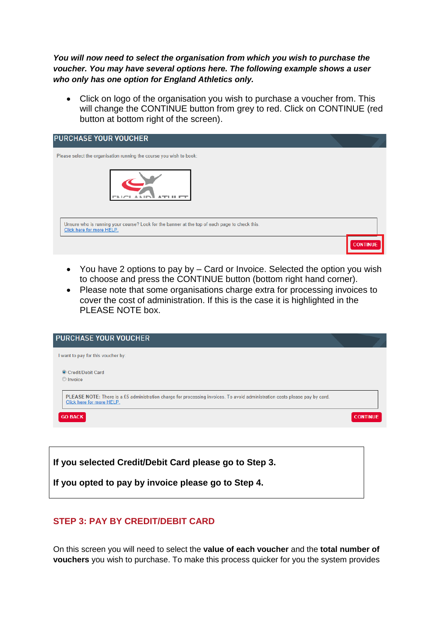*You will now need to select the organisation from which you wish to purchase the voucher. You may have several options here. The following example shows a user who only has one option for England Athletics only.*

• Click on logo of the organisation you wish to purchase a voucher from. This will change the CONTINUE button from grey to red. Click on CONTINUE (red button at bottom right of the screen).

| <b>PURCHASE YOUR VOUCHER</b>                                                                                               |                 |
|----------------------------------------------------------------------------------------------------------------------------|-----------------|
| Please select the organisation running the course you wish to book:                                                        |                 |
|                                                                                                                            |                 |
| Unsure who is running your course? Look for the banner at the top of each page to check this.<br>Click here for more HELP. |                 |
|                                                                                                                            | <b>CONTINUE</b> |

- You have 2 options to pay by Card or Invoice. Selected the option you wish to choose and press the CONTINUE button (bottom right hand corner).
- Please note that some organisations charge extra for processing invoices to cover the cost of administration. If this is the case it is highlighted in the PLEASE NOTE box.

| <b>PURCHASE YOUR VOUCHER</b>                                                                                                                             |                 |
|----------------------------------------------------------------------------------------------------------------------------------------------------------|-----------------|
| I want to pay for this voucher by:                                                                                                                       |                 |
| Credit/Debit Card<br>C Invoice                                                                                                                           |                 |
| PLEASE NOTE: There is a £5 administration charge for processing invoices. To avoid administration costs please pay by card.<br>Click here for more HELP. |                 |
| <b>GO BACK</b>                                                                                                                                           | <b>CONTINUE</b> |
|                                                                                                                                                          |                 |

**If you selected Credit/Debit Card please go to Step 3.**

**If you opted to pay by invoice please go to Step 4.**

# **STEP 3: PAY BY CREDIT/DEBIT CARD**

On this screen you will need to select the **value of each voucher** and the **total number of vouchers** you wish to purchase. To make this process quicker for you the system provides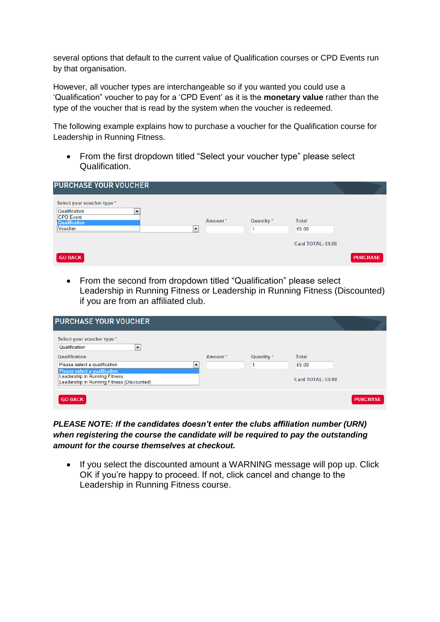several options that default to the current value of Qualification courses or CPD Events run by that organisation.

However, all voucher types are interchangeable so if you wanted you could use a 'Qualification" voucher to pay for a 'CPD Event' as it is the **monetary value** rather than the type of the voucher that is read by the system when the voucher is redeemed.

The following example explains how to purchase a voucher for the Qualification course for Leadership in Running Fitness.

• From the first dropdown titled "Select your voucher type" please select Qualification.

| <b>PURCHASE YOUR VOUCHER</b>                                                                                                                           |         |            |                       |                 |
|--------------------------------------------------------------------------------------------------------------------------------------------------------|---------|------------|-----------------------|-----------------|
| Select your voucher type *<br>Qualification<br>$\overline{\phantom{a}}$<br><b>CPD Event</b><br><b>Qualification</b><br>Voucher<br>$\blacktriangledown$ | Amount* | Quantity * | <b>Total</b><br>£0.00 |                 |
|                                                                                                                                                        |         |            | Card TOTAL: £0.00     |                 |
| <b>GO BACK</b>                                                                                                                                         |         |            |                       | <b>PURCHASE</b> |

• From the second from dropdown titled "Qualification" please select Leadership in Running Fitness or Leadership in Running Fitness (Discounted) if you are from an affiliated club.

| <b>PURCHASE YOUR VOUCHER</b>                                                                                                                           |    |         |                       |                   |                 |
|--------------------------------------------------------------------------------------------------------------------------------------------------------|----|---------|-----------------------|-------------------|-----------------|
| Select your voucher type *<br>Qualification<br>$\blacktriangledown$<br>Qualification<br>Please select a qualification<br>Please select a qualification | ۰. | Amount* | Quantity <sup>*</sup> | Total<br>£0.00    |                 |
| Leadership in Running Fitness<br>Leadership in Running Fitness (Discounted)                                                                            |    |         |                       | Card TOTAL: £0.00 |                 |
| <b>GO BACK</b>                                                                                                                                         |    |         |                       |                   | <b>PURCHASE</b> |

*PLEASE NOTE: If the candidates doesn't enter the clubs affiliation number (URN) when registering the course the candidate will be required to pay the outstanding amount for the course themselves at checkout.*

• If you select the discounted amount a WARNING message will pop up. Click OK if you're happy to proceed. If not, click cancel and change to the Leadership in Running Fitness course.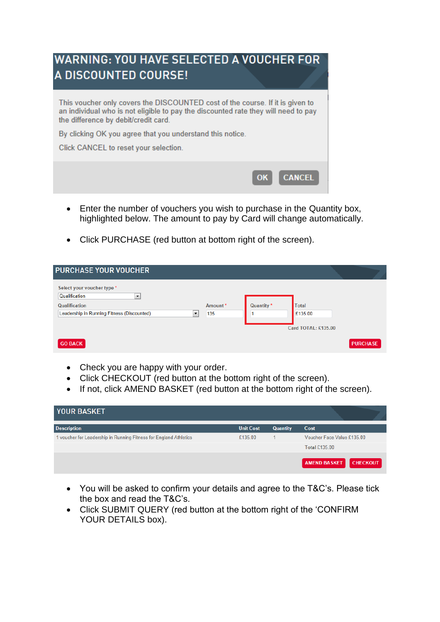

- Enter the number of vouchers you wish to purchase in the Quantity box, highlighted below. The amount to pay by Card will change automatically.
- Click PURCHASE (red button at bottom right of the screen).

| <b>PURCHASE YOUR VOUCHER</b>                                                                                                                                   |                |            |                                                |                 |
|----------------------------------------------------------------------------------------------------------------------------------------------------------------|----------------|------------|------------------------------------------------|-----------------|
| Select your voucher type *<br>Qualification<br>$\blacktriangledown$<br>Qualification<br>Leadership in Running Fitness (Discounted)<br>$\overline{\phantom{a}}$ | Amount*<br>135 | Quantity * | <b>Total</b><br>£135.00<br>Card TOTAL: £135.00 |                 |
| <b>GO BACK</b>                                                                                                                                                 |                |            |                                                | <b>PURCHASE</b> |

- Check you are happy with your order.
- Click CHECKOUT (red button at the bottom right of the screen).
- If not, click AMEND BASKET (red button at the bottom right of the screen).

| <b>YOUR BASKET</b>                                                |                  |                 |                                        |
|-------------------------------------------------------------------|------------------|-----------------|----------------------------------------|
| <b>Description</b>                                                | <b>Unit Cost</b> | <b>Quantity</b> | Cost                                   |
| 1 voucher for Leadership in Running Fitness for England Athletics | £135.00          |                 | Voucher Face Value £135.00             |
|                                                                   |                  |                 | <b>Total £135.00</b>                   |
|                                                                   |                  |                 | <b>AMEND BASKET</b><br><b>CHECKOUT</b> |

- You will be asked to confirm your details and agree to the T&C's. Please tick the box and read the T&C's.
- Click SUBMIT QUERY (red button at the bottom right of the 'CONFIRM YOUR DETAILS box).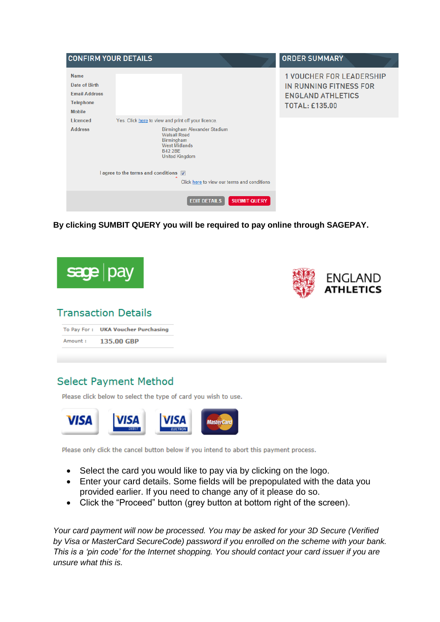| <b>CONFIRM YOUR DETAILS</b>                                                               |                                                                                                                                                                                                                                     | <b>ORDER SUMMARY</b>                                                                                           |
|-------------------------------------------------------------------------------------------|-------------------------------------------------------------------------------------------------------------------------------------------------------------------------------------------------------------------------------------|----------------------------------------------------------------------------------------------------------------|
| <b>Name</b><br>Date of Birth<br><b>Email Address</b><br><b>Telephone</b><br><b>Mobile</b> |                                                                                                                                                                                                                                     | <b>1 VOUCHER FOR LEADERSHIP</b><br>IN RUNNING FITNESS FOR<br><b>ENGLAND ATHLETICS</b><br><b>TOTAL: £135.00</b> |
| Licenced                                                                                  | Yes. Click here to view and print off your licence.                                                                                                                                                                                 |                                                                                                                |
| <b>Address</b>                                                                            | Birmingham Alexander Stadium<br><b>Walsall Road</b><br><b>Birmingham</b><br><b>West Midlands</b><br><b>B42 2BE</b><br><b>United Kingdom</b><br>I agree to the terms and conditions V<br>Click here to view our terms and conditions |                                                                                                                |
|                                                                                           |                                                                                                                                                                                                                                     |                                                                                                                |
|                                                                                           | <b>EDIT DETAILS</b><br><b>SUBMIT QUERY</b>                                                                                                                                                                                          |                                                                                                                |

**By clicking SUMBIT QUERY you will be required to pay online through SAGEPAY.**



# **Select Payment Method**

Please click below to select the type of card you wish to use.



Please only click the cancel button below if you intend to abort this payment process.

- Select the card you would like to pay via by clicking on the logo.
- Enter your card details. Some fields will be prepopulated with the data you provided earlier. If you need to change any of it please do so.
- Click the "Proceed" button (grey button at bottom right of the screen).

*Your card payment will now be processed. You may be asked for your 3D Secure (Verified by Visa or MasterCard SecureCode) password if you enrolled on the scheme with your bank. This is a 'pin code' for the Internet shopping. You should contact your card issuer if you are unsure what this is.*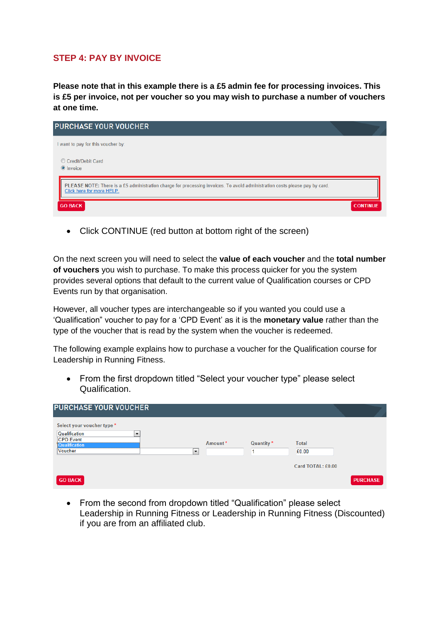# **STEP 4: PAY BY INVOICE**

**Please note that in this example there is a £5 admin fee for processing invoices. This is £5 per invoice, not per voucher so you may wish to purchase a number of vouchers at one time.**

| <b>PURCHASE YOUR VOUCHER</b>                                                                                                                             |                 |
|----------------------------------------------------------------------------------------------------------------------------------------------------------|-----------------|
| I want to pay for this voucher by:                                                                                                                       |                 |
| Credit/Debit Card<br>O Invoice                                                                                                                           |                 |
| PLEASE NOTE: There is a £5 administration charge for processing invoices. To avoid administration costs please pay by card.<br>Click here for more HELP. |                 |
| <b>GO BACK</b>                                                                                                                                           | <b>CONTINUE</b> |

• Click CONTINUE (red button at bottom right of the screen)

On the next screen you will need to select the **value of each voucher** and the **total number of vouchers** you wish to purchase. To make this process quicker for you the system provides several options that default to the current value of Qualification courses or CPD Events run by that organisation.

However, all voucher types are interchangeable so if you wanted you could use a 'Qualification" voucher to pay for a 'CPD Event' as it is the **monetary value** rather than the type of the voucher that is read by the system when the voucher is redeemed.

The following example explains how to purchase a voucher for the Qualification course for Leadership in Running Fitness.

• From the first dropdown titled "Select your voucher type" please select Qualification.

| <b>PURCHASE YOUR VOUCHER</b>                                                                                                 |         |            |                       |                 |  |
|------------------------------------------------------------------------------------------------------------------------------|---------|------------|-----------------------|-----------------|--|
| Select your voucher type *<br>Qualification<br>$\overline{\phantom{a}}$<br><b>CPD Event</b><br>Qualification<br>Voucher<br>▼ | Amount* | Quantity * | <b>Total</b><br>£0.00 |                 |  |
| <b>GO BACK</b>                                                                                                               |         |            | Card TOTAL: £0.00     | <b>PURCHASE</b> |  |

• From the second from dropdown titled "Qualification" please select Leadership in Running Fitness or Leadership in Running Fitness (Discounted) if you are from an affiliated club.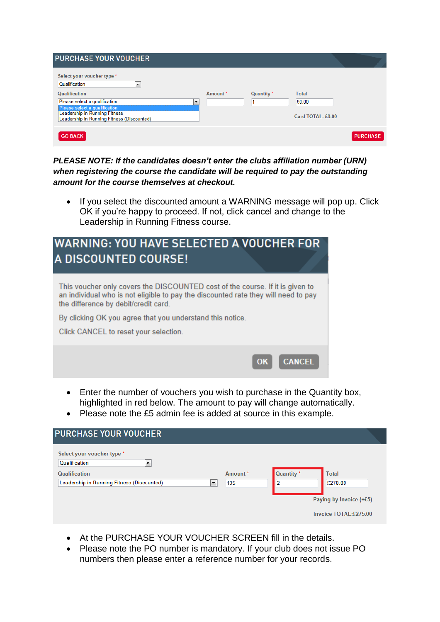| <b>PURCHASE YOUR VOUCHER</b>                                                                                                                  |                          |            |                            |                 |
|-----------------------------------------------------------------------------------------------------------------------------------------------|--------------------------|------------|----------------------------|-----------------|
| Select your voucher type *<br>Qualification<br>۰.<br>Qualification                                                                            | Amount*                  | Quantity * | Total                      |                 |
| Please select a qualification<br>Please select a qualification<br>Leadership in Running Fitness<br>Leadership in Running Fitness (Discounted) | $\overline{\phantom{a}}$ |            | £0.00<br>Card TOTAL: £0.00 |                 |
| <b>GO BACK</b>                                                                                                                                |                          |            |                            | <b>PURCHASE</b> |

*PLEASE NOTE: If the candidates doesn't enter the clubs affiliation number (URN) when registering the course the candidate will be required to pay the outstanding amount for the course themselves at checkout.*

• If you select the discounted amount a WARNING message will pop up. Click OK if you're happy to proceed. If not, click cancel and change to the Leadership in Running Fitness course.

| <b>WARNING: YOU HAVE SELECTED A VOUCHER FOR</b><br>A DISCOUNTED COURSE!                                                                                                                                     |
|-------------------------------------------------------------------------------------------------------------------------------------------------------------------------------------------------------------|
| This voucher only covers the DISCOUNTED cost of the course. If it is given to<br>an individual who is not eligible to pay the discounted rate they will need to pay<br>the difference by debit/credit card. |
| By clicking OK you agree that you understand this notice.                                                                                                                                                   |
| Click CANCEL to reset your selection.                                                                                                                                                                       |
| <b>CANCEL</b><br>OK                                                                                                                                                                                         |

- Enter the number of vouchers you wish to purchase in the Quantity box, highlighted in red below. The amount to pay will change automatically.
- Please note the £5 admin fee is added at source in this example.

| <b>PURCHASE YOUR VOUCHER</b>                                                                                                           |                          |                |                                         |                                                                               |
|----------------------------------------------------------------------------------------------------------------------------------------|--------------------------|----------------|-----------------------------------------|-------------------------------------------------------------------------------|
| Select your voucher type *<br>Qualification<br>$\overline{\phantom{a}}$<br>Qualification<br>Leadership in Running Fitness (Discounted) | $\overline{\phantom{a}}$ | Amount*<br>135 | Quantity <sup>*</sup><br>$\overline{2}$ | <b>Total</b><br>£270.00<br>Paying by Invoice $(+£5)$<br>Invoice TOTAL:£275.00 |

- At the PURCHASE YOUR VOUCHER SCREEN fill in the details.
- Please note the PO number is mandatory. If your club does not issue PO numbers then please enter a reference number for your records.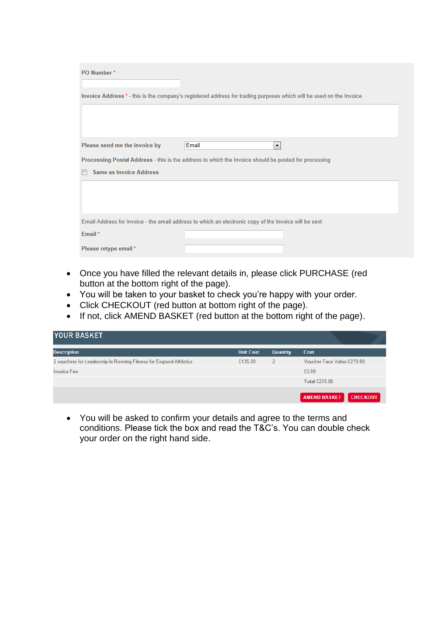| PO Number*                                                                                                          |                                                                                                       |  |  |
|---------------------------------------------------------------------------------------------------------------------|-------------------------------------------------------------------------------------------------------|--|--|
| Invoice Address * - this is the company's registered address for trading purposes which will be used on the Invoice |                                                                                                       |  |  |
|                                                                                                                     |                                                                                                       |  |  |
| Please send me the invoice by<br>Email                                                                              | $\blacktriangledown$                                                                                  |  |  |
|                                                                                                                     | Processing Postal Address - this is the address to which the Invoice should be posted for processing  |  |  |
| Same as Invoice Address                                                                                             |                                                                                                       |  |  |
|                                                                                                                     |                                                                                                       |  |  |
|                                                                                                                     |                                                                                                       |  |  |
|                                                                                                                     | Email Address for Invoice - the email address to which an electronic copy of the Invoice will be sent |  |  |
| Email*                                                                                                              |                                                                                                       |  |  |
| Please retype email *                                                                                               |                                                                                                       |  |  |

- Once you have filled the relevant details in, please click PURCHASE (red button at the bottom right of the page).
- You will be taken to your basket to check you're happy with your order.
- Click CHECKOUT (red button at bottom right of the page).
- If not, click AMEND BASKET (red button at the bottom right of the page).

| <b>YOUR BASKET</b>                                                 |                  |                 |                                        |
|--------------------------------------------------------------------|------------------|-----------------|----------------------------------------|
| <b>Description</b>                                                 | <b>Unit Cost</b> | <b>Quantity</b> | Cost                                   |
| 2 vouchers for Leadership in Running Fitness for England Athletics | £135.00          | <sup>2</sup>    | Voucher Face Value £270.00             |
| <b>Invoice Fee</b>                                                 |                  |                 | £5.00                                  |
|                                                                    |                  |                 | Total £275.00                          |
|                                                                    |                  |                 | <b>AMEND BASKET</b><br><b>CHECKOUT</b> |

 You will be asked to confirm your details and agree to the terms and conditions. Please tick the box and read the T&C's. You can double check your order on the right hand side.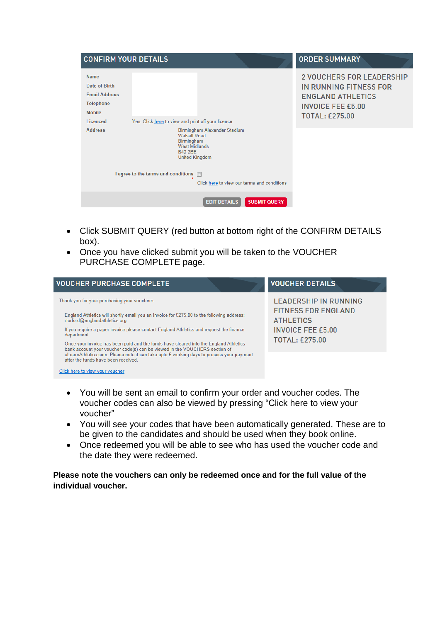|                                                                                                       | <b>CONFIRM YOUR DETAILS</b>                                                                                                                                                                                                              | <b>ORDER SUMMARY</b>                                                                                                                        |
|-------------------------------------------------------------------------------------------------------|------------------------------------------------------------------------------------------------------------------------------------------------------------------------------------------------------------------------------------------|---------------------------------------------------------------------------------------------------------------------------------------------|
| <b>Name</b><br>Date of Birth<br><b>Email Address</b><br><b>Telephone</b><br><b>Mobile</b><br>Licenced | Yes. Click here to view and print off your licence.                                                                                                                                                                                      | <b>2 VOUCHERS FOR LEADERSHIP</b><br>IN RUNNING FITNESS FOR<br><b>ENGLAND ATHLETICS</b><br><b>INVOICE FEE £5.00</b><br><b>TOTAL: £275.00</b> |
| <b>Address</b>                                                                                        | Birmingham Alexander Stadium<br><b>Walsall Road</b><br><b>Birmingham</b><br><b>West Midlands</b><br><b>B42 2BF</b><br><b>United Kingdom</b><br>I agree to the terms and conditions $\Box$<br>Click here to view our terms and conditions |                                                                                                                                             |
|                                                                                                       | <b>EDIT DETAILS</b><br><b>SUBMIT QUERY</b>                                                                                                                                                                                               |                                                                                                                                             |

- Click SUBMIT QUERY (red button at bottom right of the CONFIRM DETAILS box).
- Once you have clicked submit you will be taken to the VOUCHER PURCHASE COMPLETE page.

| <b>VOUCHER PURCHASE COMPLETE</b>                                                                                                                                                                                                                                                                                                                                                                                                                                                                                                                                                               | <b>VOUCHER DETAILS</b>                                                                                                       |
|------------------------------------------------------------------------------------------------------------------------------------------------------------------------------------------------------------------------------------------------------------------------------------------------------------------------------------------------------------------------------------------------------------------------------------------------------------------------------------------------------------------------------------------------------------------------------------------------|------------------------------------------------------------------------------------------------------------------------------|
| Thank you for your purchasing your vouchers.<br>England Athletics will shortly email you an Invoice for £275.00 to the following address:<br>rturford@englandathletics.org.<br>If you require a paper invoice please contact England Athletics and request the finance<br>department.<br>Once your invoice has been paid and the funds have cleared into the England Athletics<br>bank account your voucher code(s) can be viewed in the VOUCHERS section of<br>uLearnAthletics.com. Please note it can take upto 5 working days to process your payment<br>after the funds have been received | LEADERSHIP IN RUNNING<br><b>FITNESS FOR ENGLAND</b><br><b>ATHLETICS</b><br><b>INVOICE FEE £5.00</b><br><b>TOTAL: £275.00</b> |

Click here to view your voucher

- You will be sent an email to confirm your order and voucher codes. The voucher codes can also be viewed by pressing "Click here to view your voucher"
- You will see your codes that have been automatically generated. These are to be given to the candidates and should be used when they book online.
- Once redeemed you will be able to see who has used the voucher code and the date they were redeemed.

**Please note the vouchers can only be redeemed once and for the full value of the individual voucher.**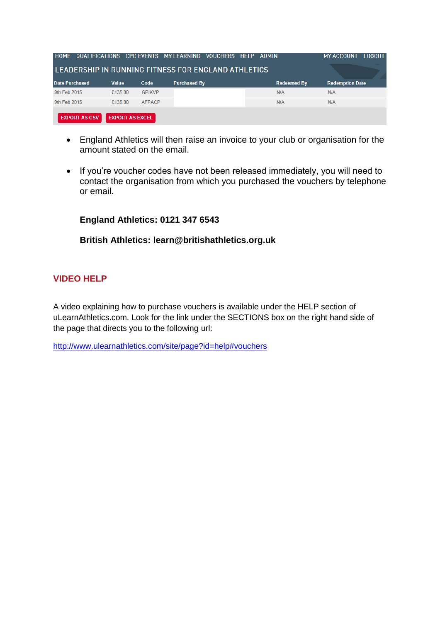| <b>HOME</b>           |                        |               | QUALIFICATIONS CPD EVENTS MY LEARNING               | <b>VOUCHERS HELP ADMIN</b> | <b>LOGOUT</b><br><b>MY ACCOUNT</b> |
|-----------------------|------------------------|---------------|-----------------------------------------------------|----------------------------|------------------------------------|
|                       |                        |               | LEADERSHIP IN RUNNING FITNESS FOR ENGLAND ATHLETICS |                            |                                    |
| <b>Date Purchased</b> | <b>Value</b>           | Code          | <b>Purchased By</b>                                 | <b>Redeemed By</b>         | <b>Redemption Date</b>             |
| 9th Feb 2015          | £135.00                | <b>GPIKVP</b> |                                                     | N/A                        | N/A                                |
| 9th Feb 2015          | £135.00                | <b>AFPACP</b> |                                                     | N/A                        | N/A                                |
| <b>EXPORT AS CSV</b>  | <b>EXPORT AS EXCEL</b> |               |                                                     |                            |                                    |
|                       |                        |               |                                                     |                            |                                    |

- England Athletics will then raise an invoice to your club or organisation for the amount stated on the email.
- If you're voucher codes have not been released immediately, you will need to contact the organisation from which you purchased the vouchers by telephone or email.

**England Athletics: 0121 347 6543**

# **British Athletics: learn@britishathletics.org.uk**

# **VIDEO HELP**

A video explaining how to purchase vouchers is available under the HELP section of uLearnAthletics.com. Look for the link under the SECTIONS box on the right hand side of the page that directs you to the following url:

<http://www.ulearnathletics.com/site/page?id=help#vouchers>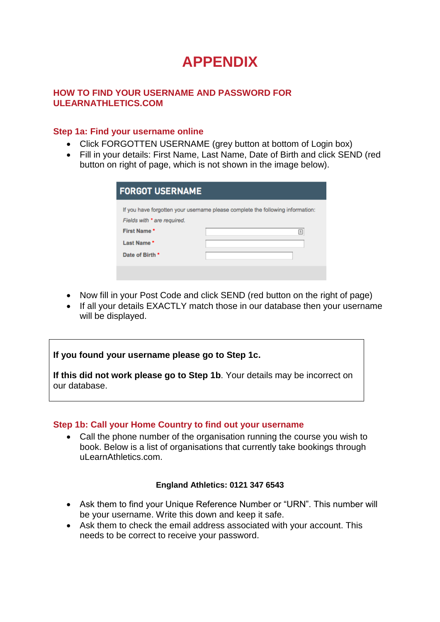# **APPENDIX**

# **HOW TO FIND YOUR USERNAME AND PASSWORD FOR ULEARNATHLETICS.COM**

# **Step 1a: Find your username online**

- Click FORGOTTEN USERNAME (grey button at bottom of Login box)
- Fill in your details: First Name, Last Name, Date of Birth and click SEND (red button on right of page, which is not shown in the image below).

| <b>FORGOT USERNAME</b>                                                      |                                                                                     |  |  |
|-----------------------------------------------------------------------------|-------------------------------------------------------------------------------------|--|--|
| Fields with * are required.<br>First Name*<br>Last Name*<br>Date of Birth * | If you have forgotten your username please complete the following information:<br>▣ |  |  |
|                                                                             |                                                                                     |  |  |

- Now fill in your Post Code and click SEND (red button on the right of page)
- If all your details EXACTLY match those in our database then your username will be displayed.

**If you found your username please go to Step 1c.**

**If this did not work please go to Step 1b**. Your details may be incorrect on our database.

# **Step 1b: Call your Home Country to find out your username**

 Call the phone number of the organisation running the course you wish to book. Below is a list of organisations that currently take bookings through uLearnAthletics.com.

# **England Athletics: 0121 347 6543**

- Ask them to find your Unique Reference Number or "URN". This number will be your username. Write this down and keep it safe.
- Ask them to check the email address associated with your account. This needs to be correct to receive your password.